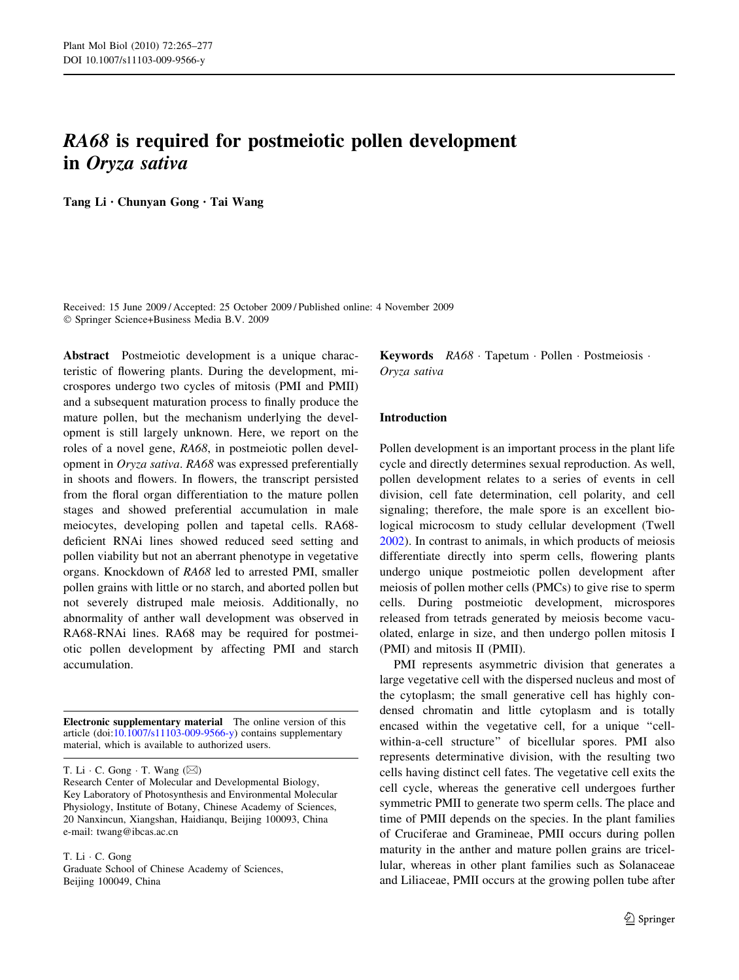# RA68 is required for postmeiotic pollen development in Oryza sativa

Tang Li • Chunyan Gong • Tai Wang

Received: 15 June 2009 / Accepted: 25 October 2009 / Published online: 4 November 2009 Springer Science+Business Media B.V. 2009

Abstract Postmeiotic development is a unique characteristic of flowering plants. During the development, microspores undergo two cycles of mitosis (PMI and PMII) and a subsequent maturation process to finally produce the mature pollen, but the mechanism underlying the development is still largely unknown. Here, we report on the roles of a novel gene, RA68, in postmeiotic pollen development in Oryza sativa. RA68 was expressed preferentially in shoots and flowers. In flowers, the transcript persisted from the floral organ differentiation to the mature pollen stages and showed preferential accumulation in male meiocytes, developing pollen and tapetal cells. RA68 deficient RNAi lines showed reduced seed setting and pollen viability but not an aberrant phenotype in vegetative organs. Knockdown of RA68 led to arrested PMI, smaller pollen grains with little or no starch, and aborted pollen but not severely distruped male meiosis. Additionally, no abnormality of anther wall development was observed in RA68-RNAi lines. RA68 may be required for postmeiotic pollen development by affecting PMI and starch accumulation.

Electronic supplementary material The online version of this article (doi:[10.1007/s11103-009-9566-y\)](http://dx.doi.org/10.1007/s11103-009-9566-y) contains supplementary material, which is available to authorized users.

T. Li  $\cdot$  C. Gong  $\cdot$  T. Wang  $(\boxtimes)$ 

Research Center of Molecular and Developmental Biology, Key Laboratory of Photosynthesis and Environmental Molecular Physiology, Institute of Botany, Chinese Academy of Sciences, 20 Nanxincun, Xiangshan, Haidianqu, Beijing 100093, China e-mail: twang@ibcas.ac.cn

T. Li · C. Gong

Graduate School of Chinese Academy of Sciences, Beijing 100049, China

Keywords  $RA68$  Tapetum · Pollen · Postmeiosis · Oryza sativa

## Introduction

Pollen development is an important process in the plant life cycle and directly determines sexual reproduction. As well, pollen development relates to a series of events in cell division, cell fate determination, cell polarity, and cell signaling; therefore, the male spore is an excellent biological microcosm to study cellular development (Twell [2002](#page-12-0)). In contrast to animals, in which products of meiosis differentiate directly into sperm cells, flowering plants undergo unique postmeiotic pollen development after meiosis of pollen mother cells (PMCs) to give rise to sperm cells. During postmeiotic development, microspores released from tetrads generated by meiosis become vacuolated, enlarge in size, and then undergo pollen mitosis I (PMI) and mitosis II (PMII).

PMI represents asymmetric division that generates a large vegetative cell with the dispersed nucleus and most of the cytoplasm; the small generative cell has highly condensed chromatin and little cytoplasm and is totally encased within the vegetative cell, for a unique "cellwithin-a-cell structure'' of bicellular spores. PMI also represents determinative division, with the resulting two cells having distinct cell fates. The vegetative cell exits the cell cycle, whereas the generative cell undergoes further symmetric PMII to generate two sperm cells. The place and time of PMII depends on the species. In the plant families of Cruciferae and Gramineae, PMII occurs during pollen maturity in the anther and mature pollen grains are tricellular, whereas in other plant families such as Solanaceae and Liliaceae, PMII occurs at the growing pollen tube after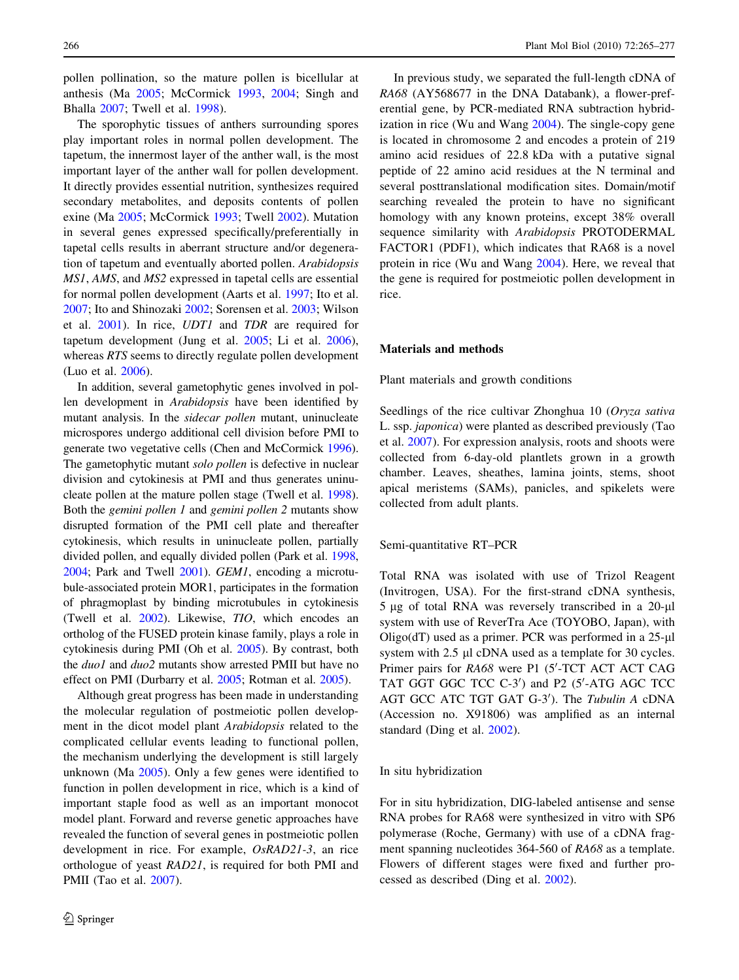pollen pollination, so the mature pollen is bicellular at anthesis (Ma [2005;](#page-11-0) McCormick [1993](#page-12-0), [2004;](#page-12-0) Singh and Bhalla [2007;](#page-12-0) Twell et al. [1998\)](#page-12-0).

The sporophytic tissues of anthers surrounding spores play important roles in normal pollen development. The tapetum, the innermost layer of the anther wall, is the most important layer of the anther wall for pollen development. It directly provides essential nutrition, synthesizes required secondary metabolites, and deposits contents of pollen exine (Ma [2005](#page-11-0); McCormick [1993;](#page-12-0) Twell [2002\)](#page-12-0). Mutation in several genes expressed specifically/preferentially in tapetal cells results in aberrant structure and/or degeneration of tapetum and eventually aborted pollen. Arabidopsis MS1, AMS, and MS2 expressed in tapetal cells are essential for normal pollen development (Aarts et al. [1997;](#page-11-0) Ito et al. [2007;](#page-11-0) Ito and Shinozaki [2002](#page-11-0); Sorensen et al. [2003](#page-12-0); Wilson et al. [2001\)](#page-12-0). In rice, UDT1 and TDR are required for tapetum development (Jung et al. [2005;](#page-11-0) Li et al. [2006](#page-11-0)), whereas RTS seems to directly regulate pollen development (Luo et al. [2006](#page-11-0)).

In addition, several gametophytic genes involved in pollen development in Arabidopsis have been identified by mutant analysis. In the sidecar pollen mutant, uninucleate microspores undergo additional cell division before PMI to generate two vegetative cells (Chen and McCormick [1996](#page-11-0)). The gametophytic mutant solo pollen is defective in nuclear division and cytokinesis at PMI and thus generates uninucleate pollen at the mature pollen stage (Twell et al. [1998](#page-12-0)). Both the gemini pollen 1 and gemini pollen 2 mutants show disrupted formation of the PMI cell plate and thereafter cytokinesis, which results in uninucleate pollen, partially divided pollen, and equally divided pollen (Park et al. [1998,](#page-12-0) [2004;](#page-12-0) Park and Twell [2001](#page-12-0)). GEM1, encoding a microtubule-associated protein MOR1, participates in the formation of phragmoplast by binding microtubules in cytokinesis (Twell et al. [2002\)](#page-12-0). Likewise, TIO, which encodes an ortholog of the FUSED protein kinase family, plays a role in cytokinesis during PMI (Oh et al. [2005\)](#page-12-0). By contrast, both the *duo1* and *duo2* mutants show arrested PMII but have no effect on PMI (Durbarry et al. [2005;](#page-11-0) Rotman et al. [2005](#page-12-0)).

Although great progress has been made in understanding the molecular regulation of postmeiotic pollen development in the dicot model plant Arabidopsis related to the complicated cellular events leading to functional pollen, the mechanism underlying the development is still largely unknown (Ma [2005\)](#page-11-0). Only a few genes were identified to function in pollen development in rice, which is a kind of important staple food as well as an important monocot model plant. Forward and reverse genetic approaches have revealed the function of several genes in postmeiotic pollen development in rice. For example, OsRAD21-3, an rice orthologue of yeast RAD21, is required for both PMI and PMII (Tao et al. [2007](#page-12-0)).

In previous study, we separated the full-length cDNA of RA68 (AY568677 in the DNA Databank), a flower-preferential gene, by PCR-mediated RNA subtraction hybridization in rice (Wu and Wang [2004\)](#page-12-0). The single-copy gene is located in chromosome 2 and encodes a protein of 219 amino acid residues of 22.8 kDa with a putative signal peptide of 22 amino acid residues at the N terminal and several posttranslational modification sites. Domain/motif searching revealed the protein to have no significant homology with any known proteins, except 38% overall sequence similarity with Arabidopsis PROTODERMAL FACTOR1 (PDF1), which indicates that RA68 is a novel protein in rice (Wu and Wang [2004\)](#page-12-0). Here, we reveal that the gene is required for postmeiotic pollen development in rice.

#### Materials and methods

Plant materials and growth conditions

Seedlings of the rice cultivar Zhonghua 10 (Oryza sativa L. ssp. japonica) were planted as described previously (Tao et al. [2007\)](#page-12-0). For expression analysis, roots and shoots were collected from 6-day-old plantlets grown in a growth chamber. Leaves, sheathes, lamina joints, stems, shoot apical meristems (SAMs), panicles, and spikelets were collected from adult plants.

#### Semi-quantitative RT–PCR

Total RNA was isolated with use of Trizol Reagent (Invitrogen, USA). For the first-strand cDNA synthesis,  $5 \mu$ g of total RNA was reversely transcribed in a 20- $\mu$ l system with use of ReverTra Ace (TOYOBO, Japan), with Oligo( $dT$ ) used as a primer. PCR was performed in a  $25-\mu$ l system with 2.5 µl cDNA used as a template for 30 cycles. Primer pairs for RA68 were P1 (5'-TCT ACT ACT CAG TAT GGT GGC TCC C-3') and P2 (5'-ATG AGC TCC AGT GCC ATC TGT GAT G-3'). The Tubulin A cDNA (Accession no. X91806) was amplified as an internal standard (Ding et al. [2002\)](#page-11-0).

#### In situ hybridization

For in situ hybridization, DIG-labeled antisense and sense RNA probes for RA68 were synthesized in vitro with SP6 polymerase (Roche, Germany) with use of a cDNA fragment spanning nucleotides 364-560 of RA68 as a template. Flowers of different stages were fixed and further processed as described (Ding et al. [2002](#page-11-0)).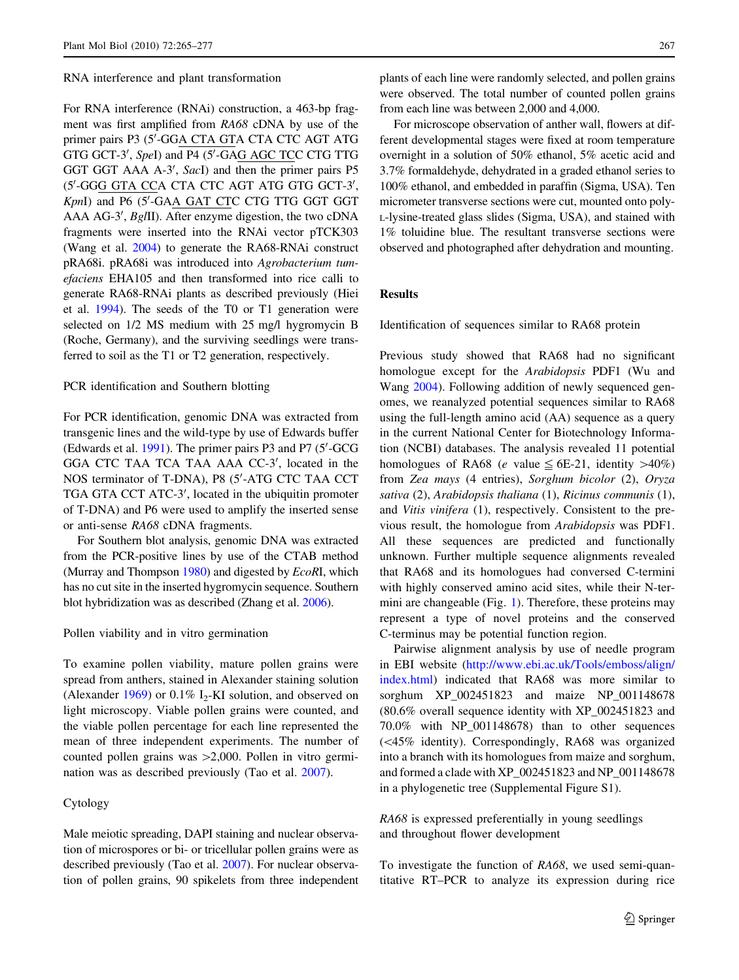#### RNA interference and plant transformation

For RNA interference (RNAi) construction, a 463-bp fragment was first amplified from RA68 cDNA by use of the primer pairs P3 (5'-GGA CTA GTA CTA CTC AGT ATG GTG GCT-3', SpeI) and P4 (5'-GAG AGC TCC CTG TTG GGT GGT AAA A-3', SacI) and then the primer pairs P5 (5'-GGG GTA CCA CTA CTC AGT ATG GTG GCT-3', KpnI) and P6 (5'-GAA GAT CTC CTG TTG GGT GGT AAA AG-3', BgIII). After enzyme digestion, the two cDNA fragments were inserted into the RNAi vector pTCK303 (Wang et al. [2004](#page-12-0)) to generate the RA68-RNAi construct pRA68i. pRA68i was introduced into Agrobacterium tumefaciens EHA105 and then transformed into rice calli to generate RA68-RNAi plants as described previously (Hiei et al. [1994](#page-11-0)). The seeds of the T0 or T1 generation were selected on 1/2 MS medium with 25 mg/l hygromycin B (Roche, Germany), and the surviving seedlings were transferred to soil as the T1 or T2 generation, respectively.

## PCR identification and Southern blotting

For PCR identification, genomic DNA was extracted from transgenic lines and the wild-type by use of Edwards buffer (Edwards et al. [1991\)](#page-11-0). The primer pairs P3 and P7 (5'-GCG GGA CTC TAA TCA TAA AAA CC-3', located in the NOS terminator of T-DNA), P8 (5'-ATG CTC TAA CCT TGA GTA CCT ATC-3', located in the ubiquitin promoter of T-DNA) and P6 were used to amplify the inserted sense or anti-sense RA68 cDNA fragments.

For Southern blot analysis, genomic DNA was extracted from the PCR-positive lines by use of the CTAB method (Murray and Thompson [1980](#page-12-0)) and digested by *EcoRI*, which has no cut site in the inserted hygromycin sequence. Southern blot hybridization was as described (Zhang et al. [2006\)](#page-12-0).

#### Pollen viability and in vitro germination

To examine pollen viability, mature pollen grains were spread from anthers, stained in Alexander staining solution (Alexander  $1969$ ) or 0.1% I<sub>2</sub>-KI solution, and observed on light microscopy. Viable pollen grains were counted, and the viable pollen percentage for each line represented the mean of three independent experiments. The number of counted pollen grains was  $>2,000$ . Pollen in vitro germination was as described previously (Tao et al. [2007\)](#page-12-0).

## Cytology

Male meiotic spreading, DAPI staining and nuclear observation of microspores or bi- or tricellular pollen grains were as described previously (Tao et al. [2007\)](#page-12-0). For nuclear observation of pollen grains, 90 spikelets from three independent plants of each line were randomly selected, and pollen grains were observed. The total number of counted pollen grains from each line was between 2,000 and 4,000.

For microscope observation of anther wall, flowers at different developmental stages were fixed at room temperature overnight in a solution of 50% ethanol, 5% acetic acid and 3.7% formaldehyde, dehydrated in a graded ethanol series to 100% ethanol, and embedded in paraffin (Sigma, USA). Ten micrometer transverse sections were cut, mounted onto poly-L-lysine-treated glass slides (Sigma, USA), and stained with 1% toluidine blue. The resultant transverse sections were observed and photographed after dehydration and mounting.

## Results

Identification of sequences similar to RA68 protein

Previous study showed that RA68 had no significant homologue except for the Arabidopsis PDF1 (Wu and Wang [2004](#page-12-0)). Following addition of newly sequenced genomes, we reanalyzed potential sequences similar to RA68 using the full-length amino acid (AA) sequence as a query in the current National Center for Biotechnology Information (NCBI) databases. The analysis revealed 11 potential homologues of RA68 (*e* value  $\leq$  6E-21, identity  $>40\%$ ) from Zea mays (4 entries), Sorghum bicolor (2), Oryza sativa (2), Arabidopsis thaliana (1), Ricinus communis (1), and Vitis vinifera (1), respectively. Consistent to the previous result, the homologue from Arabidopsis was PDF1. All these sequences are predicted and functionally unknown. Further multiple sequence alignments revealed that RA68 and its homologues had conversed C-termini with highly conserved amino acid sites, while their N-termini are changeable (Fig. [1\)](#page-3-0). Therefore, these proteins may represent a type of novel proteins and the conserved C-terminus may be potential function region.

Pairwise alignment analysis by use of needle program in EBI website [\(http://www.ebi.ac.uk/Tools/emboss/align/](http://www.ebi.ac.uk/Tools/emboss/align/index.html) [index.html](http://www.ebi.ac.uk/Tools/emboss/align/index.html)) indicated that RA68 was more similar to sorghum XP 002451823 and maize NP 001148678 (80.6% overall sequence identity with XP\_002451823 and 70.0% with NP\_001148678) than to other sequences  $(\leq 45\%$  identity). Correspondingly, RA68 was organized into a branch with its homologues from maize and sorghum, and formed a clade with XP\_002451823 and NP\_001148678 in a phylogenetic tree (Supplemental Figure S1).

RA68 is expressed preferentially in young seedlings and throughout flower development

To investigate the function of RA68, we used semi-quantitative RT–PCR to analyze its expression during rice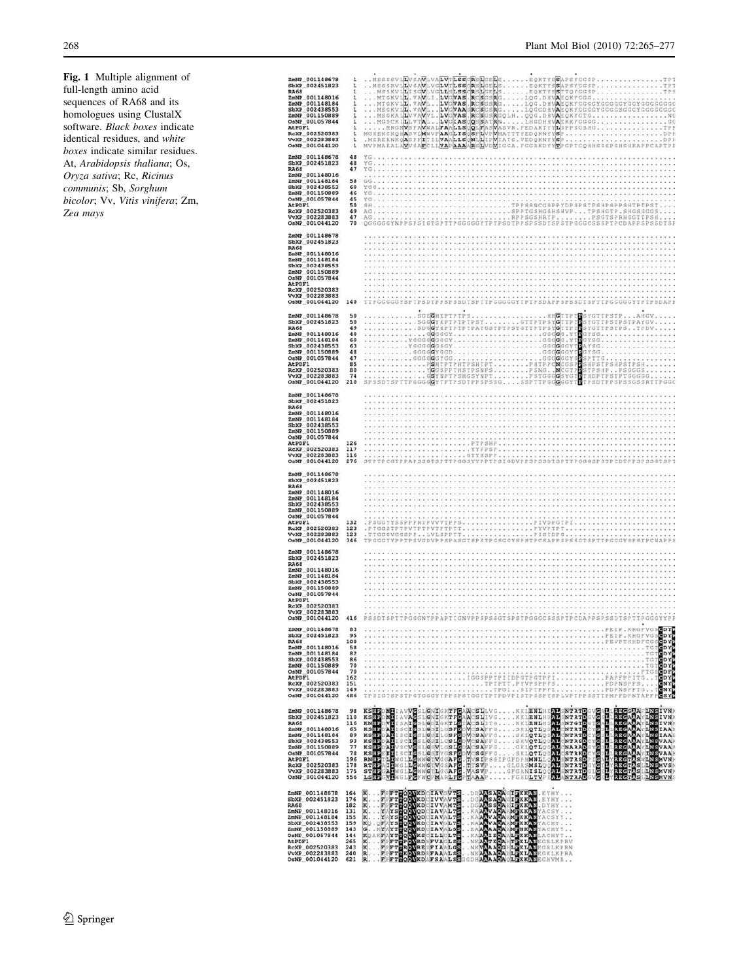<span id="page-3-0"></span>Fig. 1 Multiple alignment of full-length amino acid sequences of RA68 and its homologues using ClustalX software. Black boxes indicate identical residues, and white boxes indicate similar residues. At, Arabidopsis thaliana; Os, Oryza sativa; Rc, Ricinus communis; Sb, Sorghum bicolor; Vv, Vitis vinifera; Zm, Zea mays

| ZmNP_001148678<br>SbXP 002451823<br><b>RA68</b><br>ZmNP 001148016<br>ZmNP_001148184<br>SbXP_002438553<br>ZmNP 001150889<br>OsNP 001057844<br>AtPDF1<br>RcXP_002520383<br>VvXP 002283883<br>OsNP 001044120        | 1<br>1<br>1<br>1<br>1<br>$\mathbf{1}$<br>1<br>1<br>1<br>1<br>1            | MSSSSVLLVSAV<br><b>LVALVILSS</b><br>ERSILGEILS<br>EQKTYSSAPSYGGSP.<br>MSSSRVLLVSAVLVGLVTLSS<br>CRSLGELSEQKTYSSAPSYGGSP<br>.1797<br>MSSKV1LISGVLVGLLSLSS<br>RSLGELS<br>.EQKTYSSTTQYGGSP<br>TPS<br>MTGKV1L<br>. VAV<br>LI.LV<br><b>VAS</b><br>. Blo<br>s<br>GSRGLOG.DHVAEOKFGGG.<br>MTGKVLL<br> VAS <br>$\cdot$ R<br>$c s $ G S<br>RGLQG.DHVAEQKFGGGGYGGGGYGGYGGGGGGGGGG<br>. VA<br>VILV<br>MSGKVLL. VAVL.<br>LV.<br>VAASR<br>CSGSRGLQGGDHVAEQKYGGGGYGGGSGGGYGGGGGGGGGG<br>MSGKALLVVAVVL.LV<br>VAS R<br>SGSRGQLH<br>QQG.DHVAEQKYGTG<br>. NG<br>LHGDHHVAEKKFGGGG<br>MGSCKILLVIAL<br>LV.<br>GIASOQSSATRN.<br>. GG<br>MRGMVSFA<br>VWALFAALLS<br>MASVR. FEDAKTYYLSPPSGSHG<br>QQLFAS<br>. . TPP<br>MGKEKCKQHASVL<br>MWVFAA<br>LIS<br>OSFL<br>VΕ<br>WHATTTYEDOKNYYSP<br>WIATS.VEDOKNYYSP<br>.DPH<br>. MERERNKOASPFITILVAALLSONLLIP<br>. . DPH<br>MVPMAKALA <b>M</b> VSA <b>E</b> CLL <mark>VA</mark> P <mark>AAAAB</mark> SLVDMIGGA, FGGRKDYYMPGPTGQHHSSSPSHSHKAPPCAPTPP |
|------------------------------------------------------------------------------------------------------------------------------------------------------------------------------------------------------------------|---------------------------------------------------------------------------|------------------------------------------------------------------------------------------------------------------------------------------------------------------------------------------------------------------------------------------------------------------------------------------------------------------------------------------------------------------------------------------------------------------------------------------------------------------------------------------------------------------------------------------------------------------------------------------------------------------------------------------------------------------------------------------------------------------------------------------------------------------------------------------------------------------------------------------------------------------------------------------------------------------------------------------------------------------|
| ZmNP 001148678<br>SbXP 002451823<br><b>RA68</b><br>ZmNP 001148016<br>ZmNP_001148184<br>SbXP 002438553<br>ZmNP_001150889<br>OsNP 001057844<br><b>AtPDF1</b><br>RcXP_002520383<br>VvXP 002283883<br>OsNP 001044120 | 48<br>48<br>47<br>58<br>60<br>46<br>45<br>50<br>49<br>47<br>70            | YG.<br>$YG$<br>YG<br>GG<br>YGG<br>YG.,<br>YG.<br>SH<br>TPPSSNCGSPPYDPSPSTPSHPSPPSHTPTPS<br>SPPTGSHGSHSHVPTPSHGTP.SHGSGGGS.<br>AG.,<br>PSGTSPRHGGTTPSH.<br>AG<br>.RPPSGSHRTP.<br>TPTPSDTPPSPSSDTSPSTPGGGCSSSPTPCDAPPSPSSDTSP<br>OGGGGGY                                                                                                                                                                                                                                                                                                                                                                                                                                                                                                                                                                                                                                                                                                                           |
| ZmNP 001148678<br>SbXP 002451823<br><b>RA68</b><br>ZmNP_001148016<br>ZmNP 001148184<br>SbXP 002438553<br>ZmNP 001150889<br>OsNP 001057844<br>AtPDF1<br>RcXP_002520383<br>VvXP 002283883<br>OsNP 001044120        | 140                                                                       | TTPGGGGGYSPTPSDTPPSPSSDTSPTTPGGGGGYTPTPSDAPPSPSSDTSPTTPGGGGGYTPTPSDAPP                                                                                                                                                                                                                                                                                                                                                                                                                                                                                                                                                                                                                                                                                                                                                                                                                                                                                           |
| ZmNP_001148678<br>SbXP 002451823<br><b>RA68</b><br>ZmNP_001148016<br>ZmNP_001148184<br>SbXP 002438553<br>ZmNP_001150889<br>OsNP_001057844<br>At PDF1<br>RcXP_002520383<br>VvXP_002283883<br>OsNP_001044120       | 50<br>50<br>49<br>40<br>60<br>63<br>48<br>47<br>85<br>80<br>74<br>210     | SCECHEPTPTPS<br>.HHGTTPTP<br>SYGTTPSTPAHGV.<br>.SGE <mark>G</mark> HEPTPTPS<br>.SGG <mark>G</mark> YKPTPTPTPSY<br>. GTTPTPSYCTTP1<br>Ð<br>SYGTTPSTPSTPAYGV.<br>SDGGYKPTPTPTPAYGSTPTPSYGTTPTPSYGTTPT<br>в<br>SYGTTPSTPSTPDV<br>. GGGGGYGGGG.YT<br>GYSG<br>YGGGGGGGGY<br>GGGGG.YTE<br>GYSG.<br>YGGGGGGSGYGGGGGYTE<br>AYSG. .<br>. GGGGGYGGD<br>GGGGGGYT<br>GYSG.<br>GGGGGYGG<br>. GGGGGGYS<br>E<br>SPTTG<br>PSHTPTPHTPSHTPTPHTPPCNCGSP<br>YCGSPPTHSTPSNPSPSNGNCGTP<br>SHPSTPSHPSTPSH.<br>Ε<br>STPSHP. . PSGGGS<br>THDPTPSTPTGGGGG.<br>TPSDTPPSPSSGSSRTTPGGC                                                                                                                                                                                                                                                                                                                                                                                                        |
| ZmNP 001148678<br>SbXP 002451823<br><b>RA68</b><br>ZmNP 001148016<br>ZmNP_001148184<br>SbXP 002438553<br>ZmNP_001150889<br>OsNP 001057844<br>AtPDF1<br>RcXP 002520383<br>VvXP_002283883<br>OsNP 001044120        | 126<br>117<br>116<br>276                                                  | PTPSHP<br>YYPPSP<br>.GYYHSPP.<br>TTPGGSYYPPTPSIGD<br>PPSPSSD                                                                                                                                                                                                                                                                                                                                                                                                                                                                                                                                                                                                                                                                                                                                                                                                                                                                                                     |
| ZmNP 001148678<br>SbXP_002451823<br><b>RA68</b><br>ZmNP_001148016<br>ZmNP 001148184<br>SbXP 002438553<br>ZmNP 001150889<br>OsNP 001057844<br>AtPDF1<br>RcXP_002520383<br>VvXP_002283883<br>OsNP_001044120        | 132<br>123<br>123<br>346                                                  | . PSGGYYSSPPPRTPVVVTPPS<br>PIVDPGTPI<br>.PTGGSTPTPVTPTPVTPTPTT<br>. PYVPTPT.<br><br>TIGGGVGGSPPLVLSPPTT<br>.PISIDPG.<br>PGGGYYPPTPSVGDVPPSPASG<br><b>TPCSAPPSPSS</b>                                                                                                                                                                                                                                                                                                                                                                                                                                                                                                                                                                                                                                                                                                                                                                                             |
| ZmNP 001148678<br>SbXP 002451823<br><b>RA68</b><br>ZmNP_001148016<br>ZmNP_001148184<br>SbXP 002438553<br>ZmNP 001150889<br>OsNP_001057844<br>At PDF1<br>RcXP 002520383<br>VvXP_002283883<br>OsNP 001044120       | 416                                                                       | PSSDTSPTTPGGGNYPPAPTIGNVPPSPSSGTSPSTPGGGCSSSPTPCDAPPSPSSDTSPTTPGGGYYPP                                                                                                                                                                                                                                                                                                                                                                                                                                                                                                                                                                                                                                                                                                                                                                                                                                                                                           |
|                                                                                                                                                                                                                  |                                                                           | PEIP.XHGFVGS                                                                                                                                                                                                                                                                                                                                                                                                                                                                                                                                                                                                                                                                                                                                                                                                                                                                                                                                                     |
|                                                                                                                                                                                                                  |                                                                           | ENNE 001148678 98 KSHONH LAVVØSLGNRGKTFØARGELIVGKKLENDHENDENTETODVØADLEKSENANDERIVNE<br>SENT 002451823 110 KSHONH LAVAGSLGNRGKTFØARGELIVGKKLENDHENDENTETOPVØADLEKSENANDERIVNE<br>ANG 101148164 89 KSHONH ISALGSLGDRGKTLGRADI                                                                                                                                                                                                                                                                                                                                                                                                                                                                                                                                                                                                                                                                                                                                     |
| ZmNP_001148678<br>SbXP_002451823 176<br><b>RA68</b><br>ZmNP_001148016<br>ZmNP_001148184<br>SbXP 002438553<br>ZmNP_001150889<br>OsNP_001057844<br>At PDF1<br>RcXP_002520383<br>VvXP 002283883<br>OsNP 001044120   | 164<br>182<br>131<br>155<br>159<br>143<br>144<br>265<br>243<br>240<br>621 | R. . PPFTHOOVKDCIAVSVTS . DDANSADACIERKAN, EYHY<br>K. . PPFTHOOVKDCIVVAVTS . DGANSADACIERKAN, EYHY<br>K. . PPFTHOOVKDCIVVAVTS . DGANSADAKIERKAN, DYHY<br>K. YAYSHOOVGDCIAVALTS . KAANVADAAKIKKAN, 2003<br>K. YAYSHOOVGDCIAVALTS .                                                                                                                                                                                                                                                                                                                                                                                                                                                                                                                                                                                                                                                                                                                                |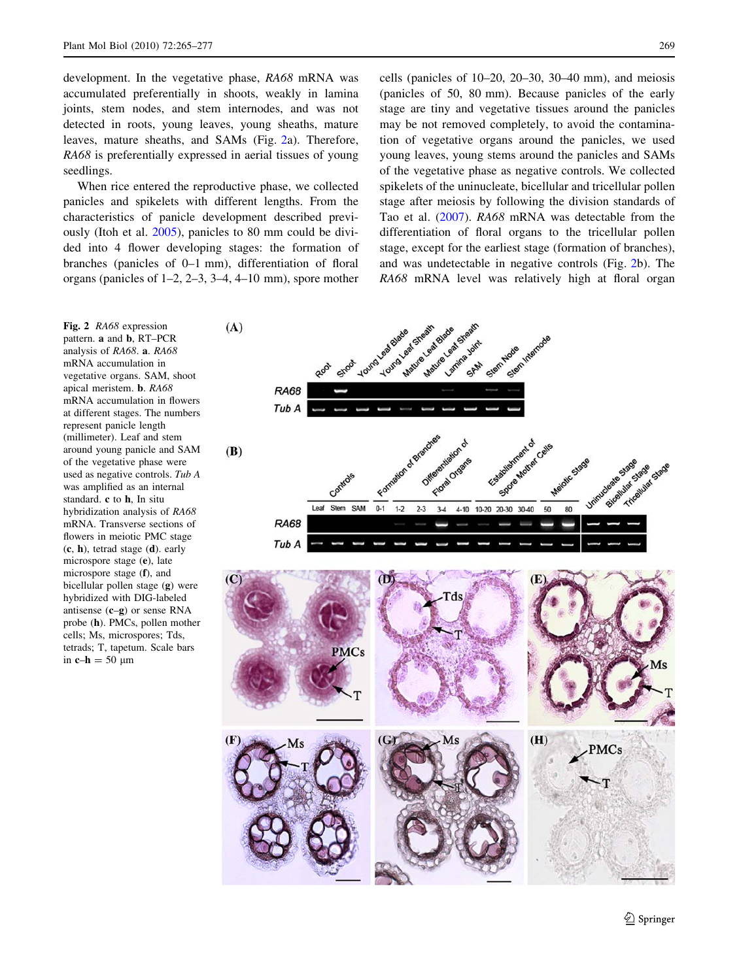<span id="page-4-0"></span>development. In the vegetative phase, RA68 mRNA was accumulated preferentially in shoots, weakly in lamina joints, stem nodes, and stem internodes, and was not detected in roots, young leaves, young sheaths, mature leaves, mature sheaths, and SAMs (Fig. 2a). Therefore, RA68 is preferentially expressed in aerial tissues of young seedlings.

When rice entered the reproductive phase, we collected panicles and spikelets with different lengths. From the characteristics of panicle development described previously (Itoh et al. [2005\)](#page-11-0), panicles to 80 mm could be divided into 4 flower developing stages: the formation of branches (panicles of 0–1 mm), differentiation of floral organs (panicles of 1–2, 2–3, 3–4, 4–10 mm), spore mother cells (panicles of 10–20, 20–30, 30–40 mm), and meiosis (panicles of 50, 80 mm). Because panicles of the early stage are tiny and vegetative tissues around the panicles may be not removed completely, to avoid the contamination of vegetative organs around the panicles, we used young leaves, young stems around the panicles and SAMs of the vegetative phase as negative controls. We collected spikelets of the uninucleate, bicellular and tricellular pollen stage after meiosis by following the division standards of Tao et al. ([2007\)](#page-12-0). RA68 mRNA was detectable from the differentiation of floral organs to the tricellular pollen stage, except for the earliest stage (formation of branches), and was undetectable in negative controls (Fig. 2b). The RA68 mRNA level was relatively high at floral organ

Fig. 2 RA68 expression pattern. a and b, RT–PCR analysis of RA68. a. RA68 mRNA accumulation in vegetative organs. SAM, shoot apical meristem. b. RA68 mRNA accumulation in flowers at different stages. The numbers represent panicle length (millimeter). Leaf and stem around young panicle and SAM of the vegetative phase were used as negative controls. Tub A was amplified as an internal standard. c to h, In situ hybridization analysis of RA68 mRNA. Transverse sections of flowers in meiotic PMC stage (c, h), tetrad stage (d). early microspore stage (e), late microspore stage (f), and bicellular pollen stage (g) were hybridized with DIG-labeled antisense  $(c-g)$  or sense RNA probe (h). PMCs, pollen mother cells; Ms, microspores; Tds, tetrads; T, tapetum. Scale bars in  $c-h = 50 \mu m$ 

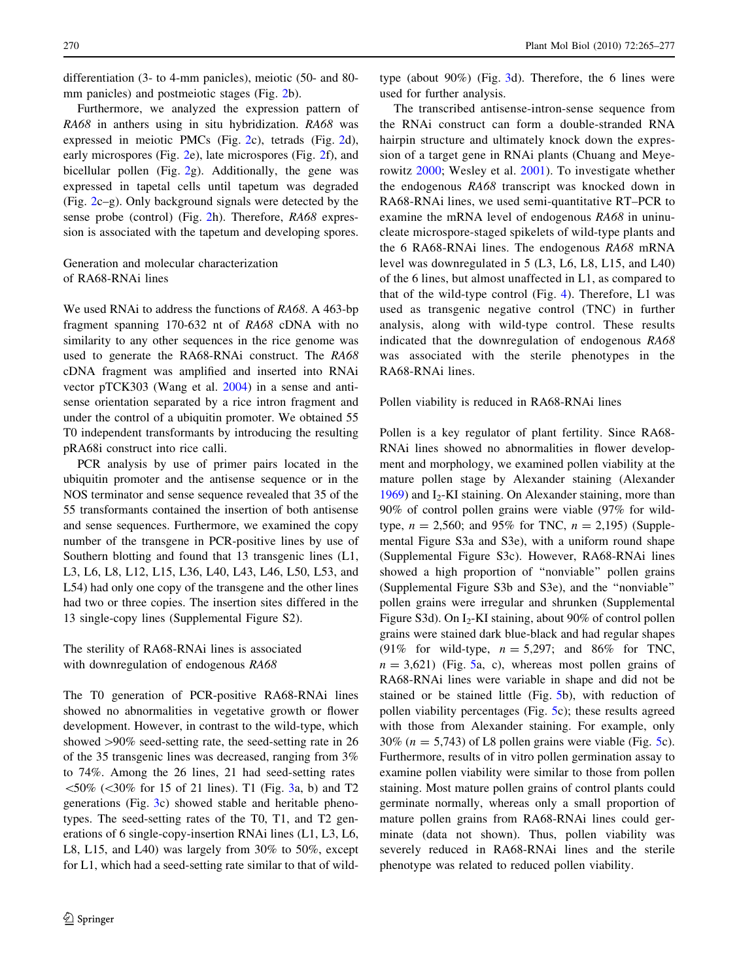differentiation (3- to 4-mm panicles), meiotic (50- and 80- mm panicles) and postmeiotic stages (Fig. [2](#page-4-0)b).

Furthermore, we analyzed the expression pattern of RA68 in anthers using in situ hybridization. RA68 was expressed in meiotic PMCs (Fig. [2c](#page-4-0)), tetrads (Fig. [2](#page-4-0)d), early microspores (Fig. [2](#page-4-0)e), late microspores (Fig. [2f](#page-4-0)), and bicellular pollen (Fig. [2g](#page-4-0)). Additionally, the gene was expressed in tapetal cells until tapetum was degraded (Fig. [2](#page-4-0)c–g). Only background signals were detected by the sense probe (control) (Fig. [2](#page-4-0)h). Therefore, RA68 expression is associated with the tapetum and developing spores.

## Generation and molecular characterization of RA68-RNAi lines

We used RNAi to address the functions of RA68. A 463-bp fragment spanning 170-632 nt of RA68 cDNA with no similarity to any other sequences in the rice genome was used to generate the RA68-RNAi construct. The RA68 cDNA fragment was amplified and inserted into RNAi vector pTCK303 (Wang et al. [2004\)](#page-12-0) in a sense and antisense orientation separated by a rice intron fragment and under the control of a ubiquitin promoter. We obtained 55 T0 independent transformants by introducing the resulting pRA68i construct into rice calli.

PCR analysis by use of primer pairs located in the ubiquitin promoter and the antisense sequence or in the NOS terminator and sense sequence revealed that 35 of the 55 transformants contained the insertion of both antisense and sense sequences. Furthermore, we examined the copy number of the transgene in PCR-positive lines by use of Southern blotting and found that 13 transgenic lines (L1, L3, L6, L8, L12, L15, L36, L40, L43, L46, L50, L53, and L54) had only one copy of the transgene and the other lines had two or three copies. The insertion sites differed in the 13 single-copy lines (Supplemental Figure S2).

# The sterility of RA68-RNAi lines is associated with downregulation of endogenous RA68

The T0 generation of PCR-positive RA68-RNAi lines showed no abnormalities in vegetative growth or flower development. However, in contrast to the wild-type, which showed >90% seed-setting rate, the seed-setting rate in 26 of the 35 transgenic lines was decreased, ranging from 3% to 74%. Among the 26 lines, 21 had seed-setting rates  $\leq 50\%$  ( $\leq 30\%$  for 15 of 21 lines). T1 (Fig. [3a](#page-6-0), b) and T2 generations (Fig. [3c](#page-6-0)) showed stable and heritable phenotypes. The seed-setting rates of the T0, T1, and T2 generations of 6 single-copy-insertion RNAi lines (L1, L3, L6, L8, L15, and L40) was largely from 30% to 50%, except for L1, which had a seed-setting rate similar to that of wildtype (about 90%) (Fig. [3](#page-6-0)d). Therefore, the 6 lines were used for further analysis.

The transcribed antisense-intron-sense sequence from the RNAi construct can form a double-stranded RNA hairpin structure and ultimately knock down the expression of a target gene in RNAi plants (Chuang and Meyerowitz [2000;](#page-11-0) Wesley et al. [2001\)](#page-12-0). To investigate whether the endogenous RA68 transcript was knocked down in RA68-RNAi lines, we used semi-quantitative RT–PCR to examine the mRNA level of endogenous RA68 in uninucleate microspore-staged spikelets of wild-type plants and the 6 RA68-RNAi lines. The endogenous RA68 mRNA level was downregulated in 5 (L3, L6, L8, L15, and L40) of the 6 lines, but almost unaffected in L1, as compared to that of the wild-type control (Fig. [4](#page-6-0)). Therefore, L1 was used as transgenic negative control (TNC) in further analysis, along with wild-type control. These results indicated that the downregulation of endogenous RA68 was associated with the sterile phenotypes in the RA68-RNAi lines.

#### Pollen viability is reduced in RA68-RNAi lines

Pollen is a key regulator of plant fertility. Since RA68- RNAi lines showed no abnormalities in flower development and morphology, we examined pollen viability at the mature pollen stage by Alexander staining (Alexander  $1969$ ) and I<sub>2</sub>-KI staining. On Alexander staining, more than 90% of control pollen grains were viable (97% for wildtype,  $n = 2,560$ ; and 95% for TNC,  $n = 2,195$ ) (Supplemental Figure S3a and S3e), with a uniform round shape (Supplemental Figure S3c). However, RA68-RNAi lines showed a high proportion of ''nonviable'' pollen grains (Supplemental Figure S3b and S3e), and the ''nonviable'' pollen grains were irregular and shrunken (Supplemental Figure S3d). On I<sub>2</sub>-KI staining, about 90% of control pollen grains were stained dark blue-black and had regular shapes (91% for wild-type,  $n = 5,297$ ; and 86% for TNC,  $n = 3{,}621$ ) (Fig. [5](#page-7-0)a, c), whereas most pollen grains of RA68-RNAi lines were variable in shape and did not be stained or be stained little (Fig. [5](#page-7-0)b), with reduction of pollen viability percentages (Fig. [5c](#page-7-0)); these results agreed with those from Alexander staining. For example, only 30% ( $n = 5,743$ ) of L8 pollen grains were viable (Fig. [5c](#page-7-0)). Furthermore, results of in vitro pollen germination assay to examine pollen viability were similar to those from pollen staining. Most mature pollen grains of control plants could germinate normally, whereas only a small proportion of mature pollen grains from RA68-RNAi lines could germinate (data not shown). Thus, pollen viability was severely reduced in RA68-RNAi lines and the sterile phenotype was related to reduced pollen viability.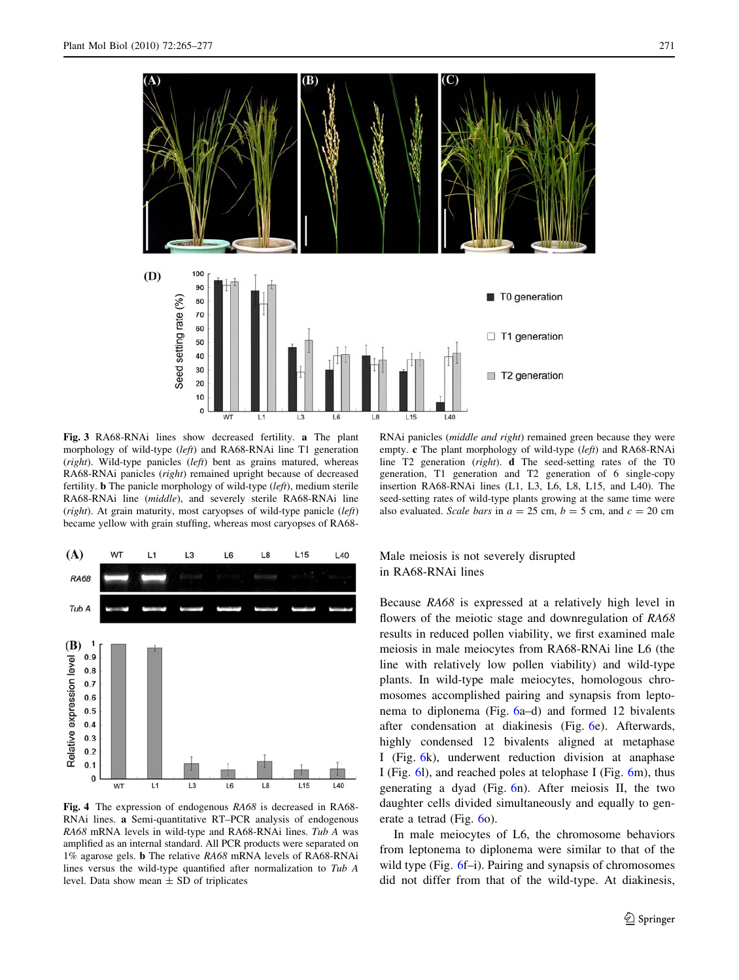<span id="page-6-0"></span>

Fig. 3 RA68-RNAi lines show decreased fertility. a The plant morphology of wild-type (left) and RA68-RNAi line T1 generation (right). Wild-type panicles (left) bent as grains matured, whereas RA68-RNAi panicles (right) remained upright because of decreased fertility. b The panicle morphology of wild-type (left), medium sterile RA68-RNAi line (middle), and severely sterile RA68-RNAi line ( $right)$ ). At grain maturity, most caryopses of wild-type panicle ( $left$ ) became yellow with grain stuffing, whereas most caryopses of RA68-



Fig. 4 The expression of endogenous RA68 is decreased in RA68- RNAi lines. a Semi-quantitative RT–PCR analysis of endogenous RA68 mRNA levels in wild-type and RA68-RNAi lines. Tub A was amplified as an internal standard. All PCR products were separated on 1% agarose gels. b The relative RA68 mRNA levels of RA68-RNAi lines versus the wild-type quantified after normalization to Tub A level. Data show mean  $\pm$  SD of triplicates

RNAi panicles (middle and right) remained green because they were empty. c The plant morphology of wild-type (left) and RA68-RNAi line T2 generation (right). d The seed-setting rates of the T0 generation, T1 generation and T2 generation of 6 single-copy insertion RA68-RNAi lines (L1, L3, L6, L8, L15, and L40). The seed-setting rates of wild-type plants growing at the same time were also evaluated. Scale bars in  $a = 25$  cm,  $b = 5$  cm, and  $c = 20$  cm

# Male meiosis is not severely disrupted in RA68-RNAi lines

Because RA68 is expressed at a relatively high level in flowers of the meiotic stage and downregulation of RA68 results in reduced pollen viability, we first examined male meiosis in male meiocytes from RA68-RNAi line L6 (the line with relatively low pollen viability) and wild-type plants. In wild-type male meiocytes, homologous chromosomes accomplished pairing and synapsis from leptonema to diplonema (Fig. [6a](#page-8-0)–d) and formed 12 bivalents after condensation at diakinesis (Fig. [6e](#page-8-0)). Afterwards, highly condensed 12 bivalents aligned at metaphase I (Fig. [6k](#page-8-0)), underwent reduction division at anaphase I (Fig. [6l](#page-8-0)), and reached poles at telophase I (Fig. [6](#page-8-0)m), thus generating a dyad (Fig. [6n](#page-8-0)). After meiosis II, the two daughter cells divided simultaneously and equally to generate a tetrad (Fig. [6](#page-8-0)o).

In male meiocytes of L6, the chromosome behaviors from leptonema to diplonema were similar to that of the wild type (Fig. [6f](#page-8-0)–i). Pairing and synapsis of chromosomes did not differ from that of the wild-type. At diakinesis,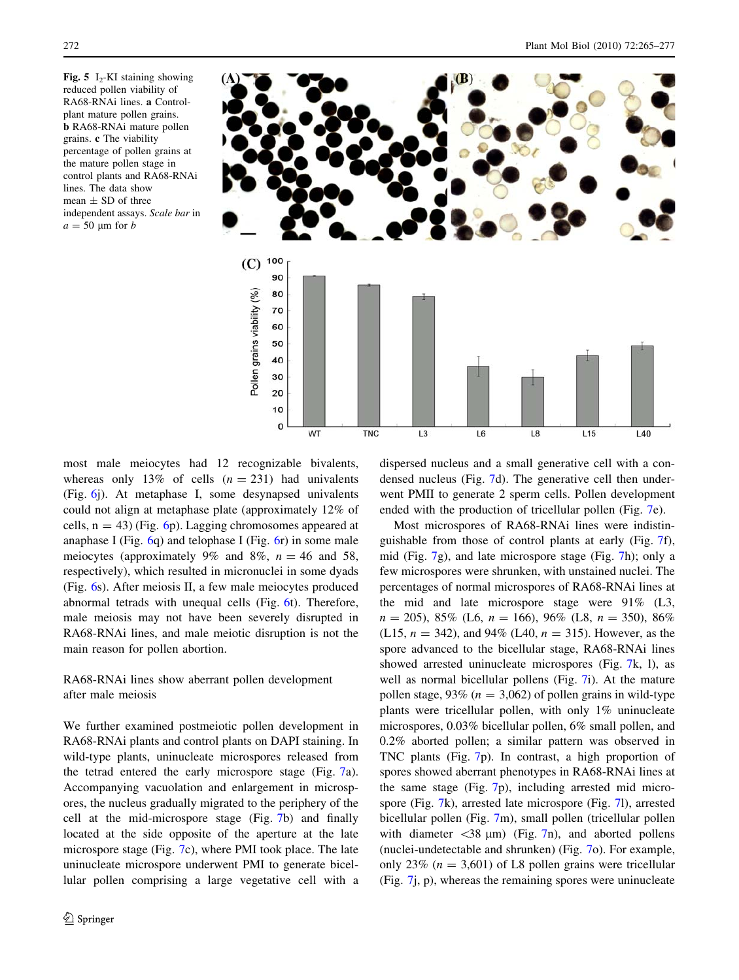<span id="page-7-0"></span>Fig. 5 I<sub>2</sub>-KI staining showing reduced pollen viability of RA68-RNAi lines. a Controlplant mature pollen grains. b RA68-RNAi mature pollen grains. c The viability percentage of pollen grains at the mature pollen stage in control plants and RA68-RNAi lines. The data show mean  $\pm$  SD of three independent assays. Scale bar in  $a = 50 \text{ µm}$  for  $b$ 



most male meiocytes had 12 recognizable bivalents, whereas only 13% of cells  $(n = 231)$  had univalents (Fig. [6](#page-8-0)j). At metaphase I, some desynapsed univalents could not align at metaphase plate (approximately 12% of cells,  $n = 43$ ) (Fig. [6p](#page-8-0)). Lagging chromosomes appeared at anaphase I (Fig. [6q](#page-8-0)) and telophase I (Fig. [6r](#page-8-0)) in some male meiocytes (approximately 9% and 8%,  $n = 46$  and 58, respectively), which resulted in micronuclei in some dyads (Fig. [6](#page-8-0)s). After meiosis II, a few male meiocytes produced abnormal tetrads with unequal cells (Fig. [6t](#page-8-0)). Therefore, male meiosis may not have been severely disrupted in RA68-RNAi lines, and male meiotic disruption is not the main reason for pollen abortion.

RA68-RNAi lines show aberrant pollen development after male meiosis

We further examined postmeiotic pollen development in RA68-RNAi plants and control plants on DAPI staining. In wild-type plants, uninucleate microspores released from the tetrad entered the early microspore stage (Fig. [7a](#page-9-0)). Accompanying vacuolation and enlargement in microspores, the nucleus gradually migrated to the periphery of the cell at the mid-microspore stage (Fig. [7](#page-9-0)b) and finally located at the side opposite of the aperture at the late microspore stage (Fig. [7](#page-9-0)c), where PMI took place. The late uninucleate microspore underwent PMI to generate bicellular pollen comprising a large vegetative cell with a dispersed nucleus and a small generative cell with a condensed nucleus (Fig. [7](#page-9-0)d). The generative cell then underwent PMII to generate 2 sperm cells. Pollen development ended with the production of tricellular pollen (Fig. [7e](#page-9-0)).

Most microspores of RA68-RNAi lines were indistinguishable from those of control plants at early (Fig. [7](#page-9-0)f), mid (Fig. [7g](#page-9-0)), and late microspore stage (Fig. [7h](#page-9-0)); only a few microspores were shrunken, with unstained nuclei. The percentages of normal microspores of RA68-RNAi lines at the mid and late microspore stage were 91% (L3,  $n = 205$ , 85% (L6,  $n = 166$ ), 96% (L8,  $n = 350$ ), 86% (L15,  $n = 342$ ), and 94% (L40,  $n = 315$ ). However, as the spore advanced to the bicellular stage, RA68-RNAi lines showed arrested uninucleate microspores (Fig. [7](#page-9-0)k, l), as well as normal bicellular pollens (Fig. [7i](#page-9-0)). At the mature pollen stage, 93% ( $n = 3,062$ ) of pollen grains in wild-type plants were tricellular pollen, with only 1% uninucleate microspores, 0.03% bicellular pollen, 6% small pollen, and 0.2% aborted pollen; a similar pattern was observed in TNC plants (Fig. [7p](#page-9-0)). In contrast, a high proportion of spores showed aberrant phenotypes in RA68-RNAi lines at the same stage (Fig. [7p](#page-9-0)), including arrested mid microspore (Fig. [7](#page-9-0)k), arrested late microspore (Fig. [7l](#page-9-0)), arrested bicellular pollen (Fig. [7](#page-9-0)m), small pollen (tricellular pollen with diameter  $\langle 38 \text{ }\mu \text{m} \rangle$  (Fig. [7n](#page-9-0)), and aborted pollens (nuclei-undetectable and shrunken) (Fig. [7o](#page-9-0)). For example, only 23% ( $n = 3,601$ ) of L8 pollen grains were tricellular (Fig. [7j](#page-9-0), p), whereas the remaining spores were uninucleate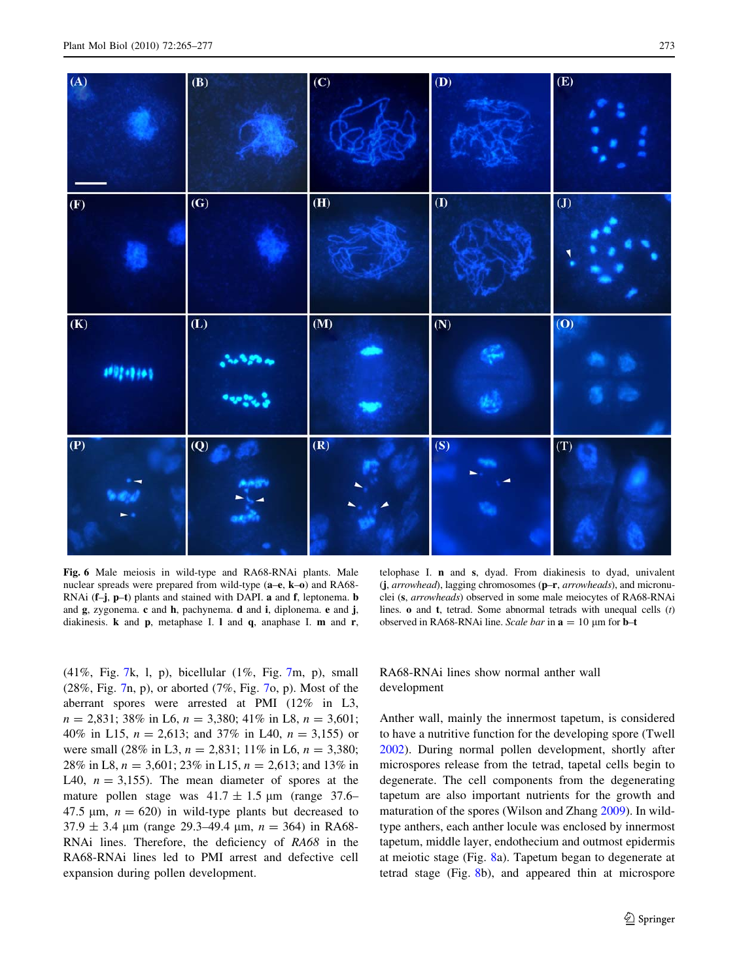<span id="page-8-0"></span>

Fig. 6 Male meiosis in wild-type and RA68-RNAi plants. Male nuclear spreads were prepared from wild-type (a–e, k–o) and RA68-RNAi (f–j, p–t) plants and stained with DAPI. a and f, leptonema. b and g, zygonema. c and h, pachynema. d and i, diplonema. e and j, diakinesis. k and p, metaphase I. l and q, anaphase I. m and r,

telophase I. n and s, dyad. From diakinesis to dyad, univalent (j, arrowhead), lagging chromosomes (p–r, arrowheads), and micronuclei (s, arrowheads) observed in some male meiocytes of RA68-RNAi lines. o and t, tetrad. Some abnormal tetrads with unequal cells (t) observed in RA68-RNAi line. Scale bar in  $a = 10 \mu m$  for **b**–t

(41%, Fig. [7k](#page-9-0), l, p), bicellular (1%, Fig. [7m](#page-9-0), p), small (28%, Fig. [7](#page-9-0)n, p), or aborted (7%, Fig. [7o](#page-9-0), p). Most of the aberrant spores were arrested at PMI (12% in L3,  $n = 2,831$ ; 38% in L6,  $n = 3,380$ ; 41% in L8,  $n = 3,601$ ; 40% in L15,  $n = 2,613$ ; and 37% in L40,  $n = 3,155$ ) or were small (28% in L3,  $n = 2,831$ ; 11% in L6,  $n = 3,380$ ; 28% in L8,  $n = 3,601$ ; 23% in L15,  $n = 2,613$ ; and 13% in L40,  $n = 3,155$ . The mean diameter of spores at the mature pollen stage was  $41.7 \pm 1.5$  µm (range 37.6– 47.5  $\mu$ m,  $n = 620$ ) in wild-type plants but decreased to  $37.9 \pm 3.4$  µm (range 29.3–49.4 µm,  $n = 364$ ) in RA68-RNAi lines. Therefore, the deficiency of RA68 in the RA68-RNAi lines led to PMI arrest and defective cell expansion during pollen development.

## RA68-RNAi lines show normal anther wall development

Anther wall, mainly the innermost tapetum, is considered to have a nutritive function for the developing spore (Twell [2002](#page-12-0)). During normal pollen development, shortly after microspores release from the tetrad, tapetal cells begin to degenerate. The cell components from the degenerating tapetum are also important nutrients for the growth and maturation of the spores (Wilson and Zhang [2009](#page-12-0)). In wildtype anthers, each anther locule was enclosed by innermost tapetum, middle layer, endothecium and outmost epidermis at meiotic stage (Fig. [8a](#page-10-0)). Tapetum began to degenerate at tetrad stage (Fig. [8b](#page-10-0)), and appeared thin at microspore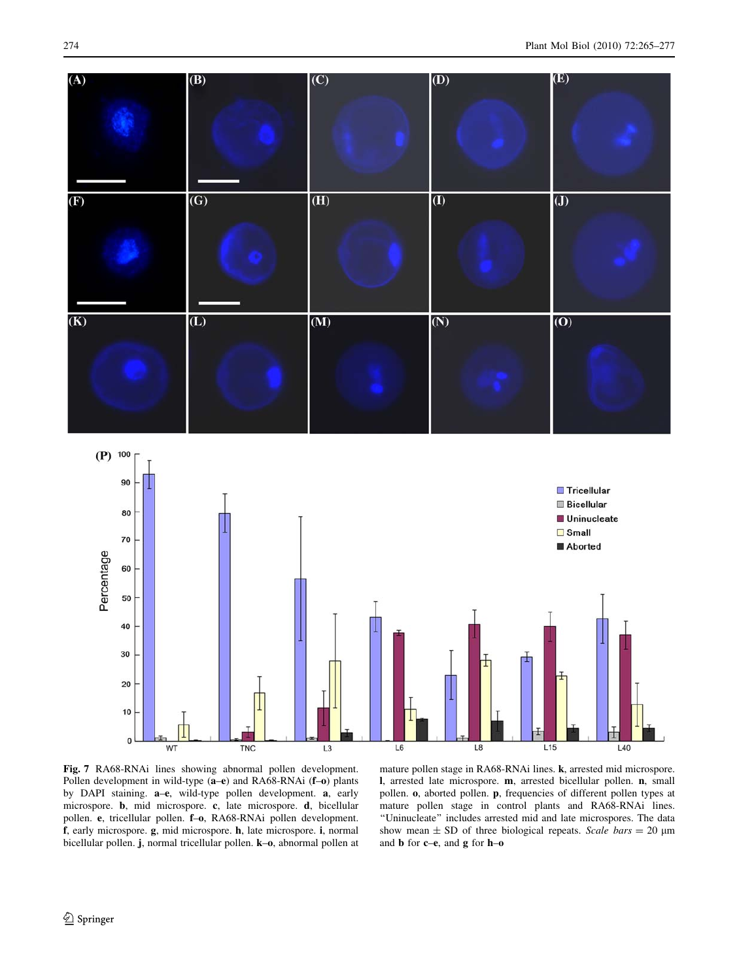<span id="page-9-0"></span>

Fig. 7 RA68-RNAi lines showing abnormal pollen development. Pollen development in wild-type (a–e) and RA68-RNAi (f–o) plants by DAPI staining. a–e, wild-type pollen development. a, early microspore. b, mid microspore. c, late microspore. d, bicellular pollen. e, tricellular pollen. f–o, RA68-RNAi pollen development. f, early microspore. g, mid microspore. h, late microspore. i, normal bicellular pollen. j, normal tricellular pollen. k–o, abnormal pollen at

mature pollen stage in RA68-RNAi lines. k, arrested mid microspore. l, arrested late microspore. m, arrested bicellular pollen. n, small pollen. o, aborted pollen. p, frequencies of different pollen types at mature pollen stage in control plants and RA68-RNAi lines. ''Uninucleate'' includes arrested mid and late microspores. The data show mean  $\pm$  SD of three biological repeats. Scale bars = 20  $\mu$ m and b for c–e, and g for h–o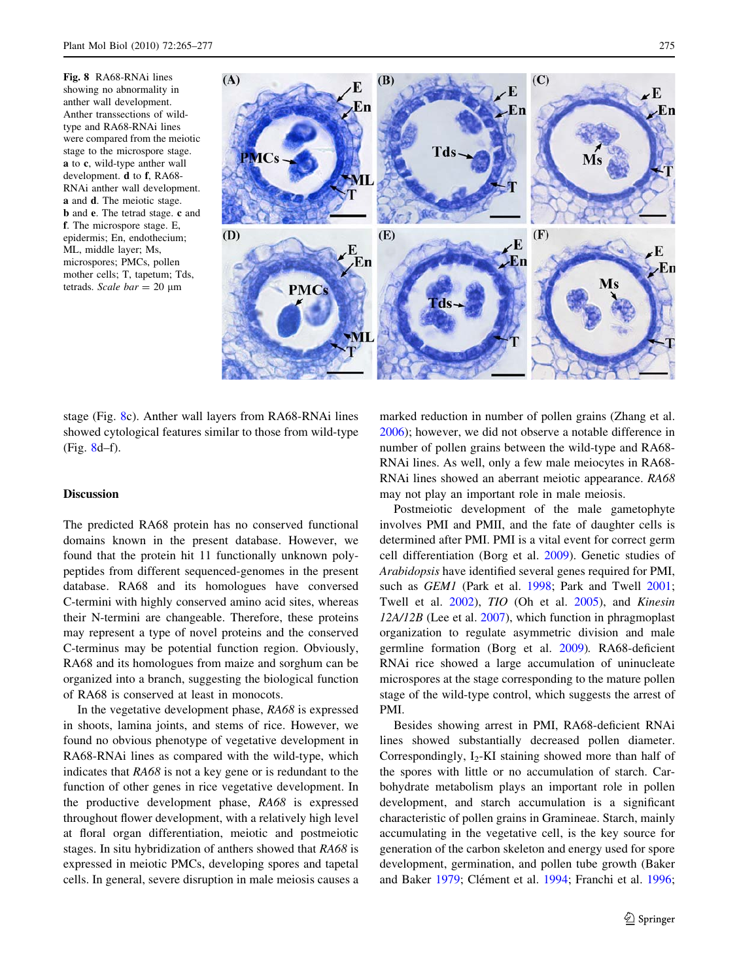<span id="page-10-0"></span>Fig. 8 RA68-RNAi lines showing no abnormality in anther wall development. Anther transsections of wildtype and RA68-RNAi lines were compared from the meiotic stage to the microspore stage. a to c, wild-type anther wall development. d to f, RA68- RNAi anther wall development. a and d. The meiotic stage. b and e. The tetrad stage. c and f. The microspore stage. E, epidermis; En, endothecium;

ML, middle layer; Ms, microspores; PMCs, pollen mother cells; T, tapetum; Tds, tetrads. Scale bar = 20  $\mu$ m



stage (Fig. 8c). Anther wall layers from RA68-RNAi lines showed cytological features similar to those from wild-type (Fig. 8d–f).

### **Discussion**

The predicted RA68 protein has no conserved functional domains known in the present database. However, we found that the protein hit 11 functionally unknown polypeptides from different sequenced-genomes in the present database. RA68 and its homologues have conversed C-termini with highly conserved amino acid sites, whereas their N-termini are changeable. Therefore, these proteins may represent a type of novel proteins and the conserved C-terminus may be potential function region. Obviously, RA68 and its homologues from maize and sorghum can be organized into a branch, suggesting the biological function of RA68 is conserved at least in monocots.

In the vegetative development phase, RA68 is expressed in shoots, lamina joints, and stems of rice. However, we found no obvious phenotype of vegetative development in RA68-RNAi lines as compared with the wild-type, which indicates that RA68 is not a key gene or is redundant to the function of other genes in rice vegetative development. In the productive development phase, RA68 is expressed throughout flower development, with a relatively high level at floral organ differentiation, meiotic and postmeiotic stages. In situ hybridization of anthers showed that RA68 is expressed in meiotic PMCs, developing spores and tapetal cells. In general, severe disruption in male meiosis causes a marked reduction in number of pollen grains (Zhang et al. [2006](#page-12-0)); however, we did not observe a notable difference in number of pollen grains between the wild-type and RA68- RNAi lines. As well, only a few male meiocytes in RA68- RNAi lines showed an aberrant meiotic appearance. RA68 may not play an important role in male meiosis.

Postmeiotic development of the male gametophyte involves PMI and PMII, and the fate of daughter cells is determined after PMI. PMI is a vital event for correct germ cell differentiation (Borg et al. [2009\)](#page-11-0). Genetic studies of Arabidopsis have identified several genes required for PMI, such as *GEM1* (Park et al. [1998;](#page-12-0) Park and Twell [2001](#page-12-0); Twell et al. [2002](#page-12-0)), TIO (Oh et al. [2005\)](#page-12-0), and Kinesin  $12A/12B$  (Lee et al.  $2007$ ), which function in phragmoplast organization to regulate asymmetric division and male germline formation (Borg et al. [2009\)](#page-11-0). RA68-deficient RNAi rice showed a large accumulation of uninucleate microspores at the stage corresponding to the mature pollen stage of the wild-type control, which suggests the arrest of PMI.

Besides showing arrest in PMI, RA68-deficient RNAi lines showed substantially decreased pollen diameter. Correspondingly,  $I_2$ -KI staining showed more than half of the spores with little or no accumulation of starch. Carbohydrate metabolism plays an important role in pollen development, and starch accumulation is a significant characteristic of pollen grains in Gramineae. Starch, mainly accumulating in the vegetative cell, is the key source for generation of the carbon skeleton and energy used for spore development, germination, and pollen tube growth (Baker and Baker [1979;](#page-11-0) Clément et al. [1994;](#page-11-0) Franchi et al. [1996](#page-11-0);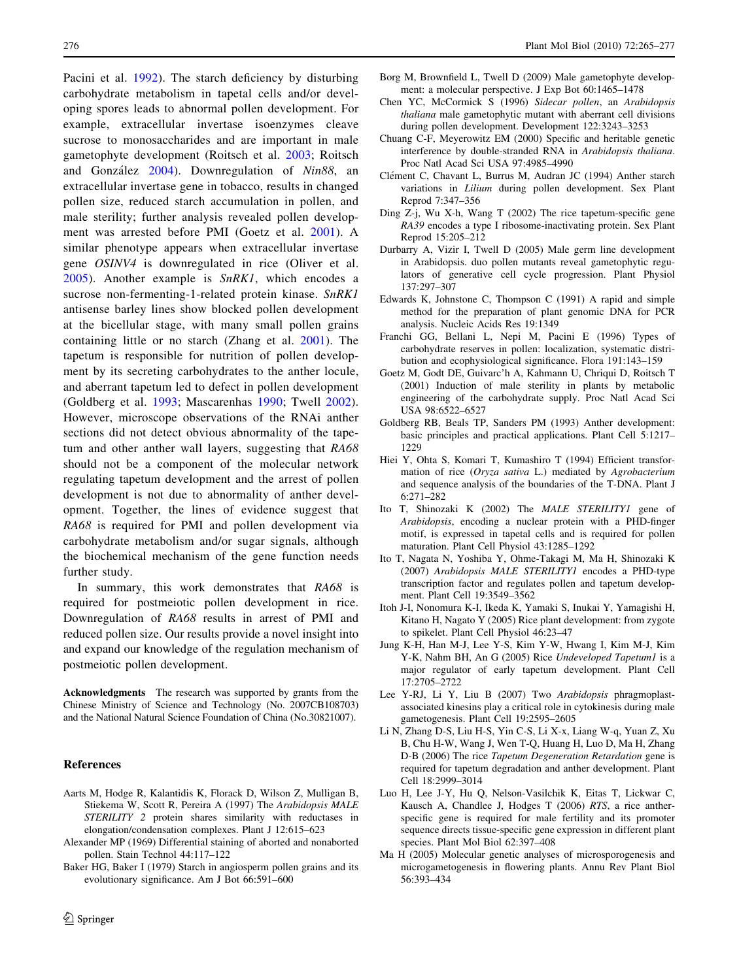<span id="page-11-0"></span>Pacini et al. [1992\)](#page-12-0). The starch deficiency by disturbing carbohydrate metabolism in tapetal cells and/or developing spores leads to abnormal pollen development. For example, extracellular invertase isoenzymes cleave sucrose to monosaccharides and are important in male gametophyte development (Roitsch et al. [2003;](#page-12-0) Roitsch and González [2004](#page-12-0)). Downregulation of Nin88, an extracellular invertase gene in tobacco, results in changed pollen size, reduced starch accumulation in pollen, and male sterility; further analysis revealed pollen development was arrested before PMI (Goetz et al. 2001). A similar phenotype appears when extracellular invertase gene OSINV4 is downregulated in rice (Oliver et al. [2005](#page-12-0)). Another example is SnRK1, which encodes a sucrose non-fermenting-1-related protein kinase. SnRK1 antisense barley lines show blocked pollen development at the bicellular stage, with many small pollen grains containing little or no starch (Zhang et al. [2001](#page-12-0)). The tapetum is responsible for nutrition of pollen development by its secreting carbohydrates to the anther locule, and aberrant tapetum led to defect in pollen development (Goldberg et al. 1993; Mascarenhas [1990;](#page-12-0) Twell [2002](#page-12-0)). However, microscope observations of the RNAi anther sections did not detect obvious abnormality of the tapetum and other anther wall layers, suggesting that RA68 should not be a component of the molecular network regulating tapetum development and the arrest of pollen development is not due to abnormality of anther development. Together, the lines of evidence suggest that RA68 is required for PMI and pollen development via carbohydrate metabolism and/or sugar signals, although the biochemical mechanism of the gene function needs further study.

In summary, this work demonstrates that RA68 is required for postmeiotic pollen development in rice. Downregulation of RA68 results in arrest of PMI and reduced pollen size. Our results provide a novel insight into and expand our knowledge of the regulation mechanism of postmeiotic pollen development.

Acknowledgments The research was supported by grants from the Chinese Ministry of Science and Technology (No. 2007CB108703) and the National Natural Science Foundation of China (No.30821007).

## References

- Aarts M, Hodge R, Kalantidis K, Florack D, Wilson Z, Mulligan B, Stiekema W, Scott R, Pereira A (1997) The Arabidopsis MALE STERILITY 2 protein shares similarity with reductases in elongation/condensation complexes. Plant J 12:615–623
- Alexander MP (1969) Differential staining of aborted and nonaborted pollen. Stain Technol 44:117–122
- Baker HG, Baker I (1979) Starch in angiosperm pollen grains and its evolutionary significance. Am J Bot 66:591–600
- Borg M, Brownfield L, Twell D (2009) Male gametophyte development: a molecular perspective. J Exp Bot 60:1465–1478
- Chen YC, McCormick S (1996) Sidecar pollen, an Arabidopsis thaliana male gametophytic mutant with aberrant cell divisions during pollen development. Development 122:3243–3253
- Chuang C-F, Meyerowitz EM (2000) Specific and heritable genetic interference by double-stranded RNA in Arabidopsis thaliana. Proc Natl Acad Sci USA 97:4985–4990
- Clément C, Chavant L, Burrus M, Audran JC (1994) Anther starch variations in Lilium during pollen development. Sex Plant Reprod 7:347–356
- Ding Z-j, Wu X-h, Wang T (2002) The rice tapetum-specific gene RA39 encodes a type I ribosome-inactivating protein. Sex Plant Reprod 15:205–212
- Durbarry A, Vizir I, Twell D (2005) Male germ line development in Arabidopsis. duo pollen mutants reveal gametophytic regulators of generative cell cycle progression. Plant Physiol 137:297–307
- Edwards K, Johnstone C, Thompson C (1991) A rapid and simple method for the preparation of plant genomic DNA for PCR analysis. Nucleic Acids Res 19:1349
- Franchi GG, Bellani L, Nepi M, Pacini E (1996) Types of carbohydrate reserves in pollen: localization, systematic distribution and ecophysiological significance. Flora 191:143–159
- Goetz M, Godt DE, Guivarc'h A, Kahmann U, Chriqui D, Roitsch T (2001) Induction of male sterility in plants by metabolic engineering of the carbohydrate supply. Proc Natl Acad Sci USA 98:6522–6527
- Goldberg RB, Beals TP, Sanders PM (1993) Anther development: basic principles and practical applications. Plant Cell 5:1217– 1229
- Hiei Y, Ohta S, Komari T, Kumashiro T (1994) Efficient transformation of rice (Oryza sativa L.) mediated by Agrobacterium and sequence analysis of the boundaries of the T-DNA. Plant J 6:271–282
- Ito T, Shinozaki K (2002) The MALE STERILITY1 gene of Arabidopsis, encoding a nuclear protein with a PHD-finger motif, is expressed in tapetal cells and is required for pollen maturation. Plant Cell Physiol 43:1285–1292
- Ito T, Nagata N, Yoshiba Y, Ohme-Takagi M, Ma H, Shinozaki K (2007) Arabidopsis MALE STERILITY1 encodes a PHD-type transcription factor and regulates pollen and tapetum development. Plant Cell 19:3549–3562
- Itoh J-I, Nonomura K-I, Ikeda K, Yamaki S, Inukai Y, Yamagishi H, Kitano H, Nagato Y (2005) Rice plant development: from zygote to spikelet. Plant Cell Physiol 46:23–47
- Jung K-H, Han M-J, Lee Y-S, Kim Y-W, Hwang I, Kim M-J, Kim Y-K, Nahm BH, An G (2005) Rice Undeveloped Tapetum1 is a major regulator of early tapetum development. Plant Cell 17:2705–2722
- Lee Y-RJ, Li Y, Liu B (2007) Two Arabidopsis phragmoplastassociated kinesins play a critical role in cytokinesis during male gametogenesis. Plant Cell 19:2595–2605
- Li N, Zhang D-S, Liu H-S, Yin C-S, Li X-x, Liang W-q, Yuan Z, Xu B, Chu H-W, Wang J, Wen T-Q, Huang H, Luo D, Ma H, Zhang D-B (2006) The rice Tapetum Degeneration Retardation gene is required for tapetum degradation and anther development. Plant Cell 18:2999–3014
- Luo H, Lee J-Y, Hu Q, Nelson-Vasilchik K, Eitas T, Lickwar C, Kausch A, Chandlee J, Hodges T (2006) RTS, a rice antherspecific gene is required for male fertility and its promoter sequence directs tissue-specific gene expression in different plant species. Plant Mol Biol 62:397–408
- Ma H (2005) Molecular genetic analyses of microsporogenesis and microgametogenesis in flowering plants. Annu Rev Plant Biol 56:393–434